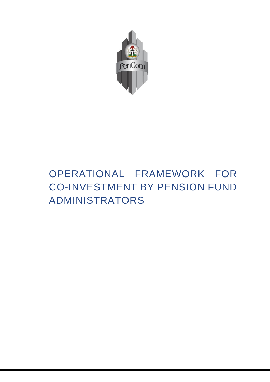

# OPERATIONAL FRAMEWORK FOR CO-INVESTMENT BY PENSION FUND ADMINISTRATORS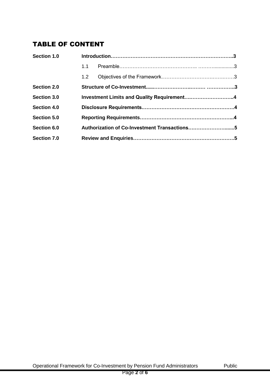## TABLE OF CONTENT

| Section 1.0        |                                              |                                            |  |
|--------------------|----------------------------------------------|--------------------------------------------|--|
|                    | 1.1                                          |                                            |  |
|                    | 1.2                                          |                                            |  |
| Section 2.0        |                                              |                                            |  |
| Section 3.0        |                                              | Investment Limits and Quality Requirement4 |  |
| <b>Section 4.0</b> |                                              |                                            |  |
| Section 5.0        |                                              |                                            |  |
| Section 6.0        | Authorization of Co-Investment Transactions5 |                                            |  |
| Section 7.0        |                                              |                                            |  |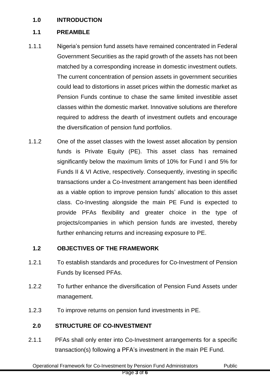#### **1.0 INTRODUCTION**

#### **1.1 PREAMBLE**

- 1.1.1 Nigeria's pension fund assets have remained concentrated in Federal Government Securities as the rapid growth of the assets has not been matched by a corresponding increase in domestic investment outlets. The current concentration of pension assets in government securities could lead to distortions in asset prices within the domestic market as Pension Funds continue to chase the same limited investible asset classes within the domestic market. Innovative solutions are therefore required to address the dearth of investment outlets and encourage the diversification of pension fund portfolios.
- 1.1.2 One of the asset classes with the lowest asset allocation by pension funds is Private Equity (PE). This asset class has remained significantly below the maximum limits of 10% for Fund I and 5% for Funds II & VI Active, respectively. Consequently, investing in specific transactions under a Co-Investment arrangement has been identified as a viable option to improve pension funds' allocation to this asset class. Co-Investing alongside the main PE Fund is expected to provide PFAs flexibility and greater choice in the type of projects/companies in which pension funds are invested, thereby further enhancing returns and increasing exposure to PE.

### **1.2 OBJECTIVES OF THE FRAMEWORK**

- 1.2.1 To establish standards and procedures for Co-Investment of Pension Funds by licensed PFAs.
- 1.2.2 To further enhance the diversification of Pension Fund Assets under management.
- 1.2.3 To improve returns on pension fund investments in PE.

#### **2.0 STRUCTURE OF CO-INVESTMENT**

2.1.1 PFAs shall only enter into Co-Investment arrangements for a specific transaction(s) following a PFA's investment in the main PE Fund.

Operational Framework for Co-Investment by Pension Fund Administrators Public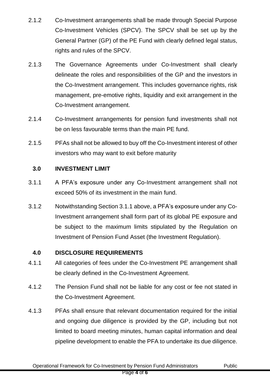- 2.1.2 Co-Investment arrangements shall be made through Special Purpose Co-Investment Vehicles (SPCV). The SPCV shall be set up by the General Partner (GP) of the PE Fund with clearly defined legal status, rights and rules of the SPCV.
- 2.1.3 The Governance Agreements under Co-Investment shall clearly delineate the roles and responsibilities of the GP and the investors in the Co-Investment arrangement. This includes governance rights, risk management, pre-emotive rights, liquidity and exit arrangement in the Co-Investment arrangement.
- 2.1.4 Co-Investment arrangements for pension fund investments shall not be on less favourable terms than the main PE fund.
- 2.1.5 PFAs shall not be allowed to buy off the Co-Investment interest of other investors who may want to exit before maturity

#### **3.0 INVESTMENT LIMIT**

- 3.1.1 A PFA's exposure under any Co-Investment arrangement shall not exceed 50% of its investment in the main fund.
- 3.1.2 Notwithstanding Section 3.1.1 above, a PFA's exposure under any Co-Investment arrangement shall form part of its global PE exposure and be subject to the maximum limits stipulated by the Regulation on Investment of Pension Fund Asset (the Investment Regulation).

#### **4.0 DISCLOSURE REQUIREMENTS**

- 4.1.1 All categories of fees under the Co-Investment PE arrangement shall be clearly defined in the Co-Investment Agreement.
- 4.1.2 The Pension Fund shall not be liable for any cost or fee not stated in the Co-Investment Agreement.
- 4.1.3 PFAs shall ensure that relevant documentation required for the initial and ongoing due diligence is provided by the GP, including but not limited to board meeting minutes, human capital information and deal pipeline development to enable the PFA to undertake its due diligence.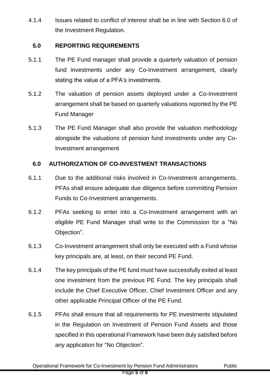4.1.4 Issues related to conflict of interest shall be in line with Section 6.0 of the Investment Regulation.

#### **5.0 REPORTING REQUIREMENTS**

- 5.1.1 The PE Fund manager shall provide a quarterly valuation of pension fund investments under any Co-Investment arrangement, clearly stating the value of a PFA's investments.
- 5.1.2 The valuation of pension assets deployed under a Co-Investment arrangement shall be based on quarterly valuations reported by the PE Fund Manager
- 5.1.3 The PE Fund Manager shall also provide the valuation methodology alongside the valuations of pension fund investments under any Co-Investment arrangement

#### **6.0 AUTHORIZATION OF CO-INVESTMENT TRANSACTIONS**

- 6.1.1 Due to the additional risks involved in Co-Investment arrangements, PFAs shall ensure adequate due diligence before committing Pension Funds to Co-Investment arrangements.
- 6.1.2 PFAs seeking to enter into a Co-Investment arrangement with an eligible PE Fund Manager shall write to the Commission for a "No Objection".
- 6.1.3 Co-Investment arrangement shall only be executed with a Fund whose key principals are, at least, on their second PE Fund.
- 6.1.4 The key principals of the PE fund must have successfully exited at least one investment from the previous PE Fund. The key principals shall include the Chief Executive Officer, Chief Investment Officer and any other applicable Principal Officer of the PE Fund.
- 6.1.5 PFAs shall ensure that all requirements for PE investments stipulated in the Regulation on Investment of Pension Fund Assets and those specified in this operational Framework have been duly satisfied before any application for "No Objection".